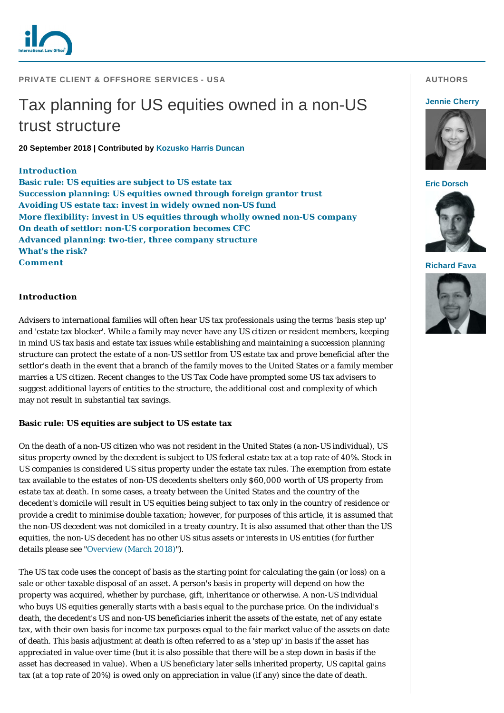

## **PRIVATE CLIENT & OFFSHORE SERVICES - USA**

# Tax planning for US equities owned in a non-US trust structure

**20 September 2018 | Contributed by [Kozusko Harris Duncan](https://www.internationallawoffice.com/directory/detail.aspx?g=50accc51-75dd-4fe0-8d63-9dec581db521)**

#### **[Introduction](#page-0-0)**

**[Basic rule: US equities are subject to US estate tax](#page-0-1) [Succession planning: US equities owned through foreign grantor trust](#page-1-0) [Avoiding US estate tax: invest in widely owned non-US fund](#page-1-1) [More flexibility: invest in US equities through wholly owned non-US company](#page-1-2) [On death of settlor: non-US corporation becomes CFC](#page-1-3) [Advanced planning: two-tier, three company structure](#page-2-0) [What's the risk?](#page-3-0) [Comment](#page-3-1)**

#### <span id="page-0-0"></span>**Introduction**

Advisers to international families will often hear US tax professionals using the terms 'basis step up' and 'estate tax blocker'. While a family may never have any US citizen or resident members, keeping in mind US tax basis and estate tax issues while establishing and maintaining a succession planning structure can protect the estate of a non-US settlor from US estate tax and prove beneficial after the settlor's death in the event that a branch of the family moves to the United States or a family member marries a US citizen. Recent changes to the US Tax Code have prompted some US tax advisers to suggest additional layers of entities to the structure, the additional cost and complexity of which may not result in substantial tax savings.

## <span id="page-0-1"></span>**Basic rule: US equities are subject to US estate tax**

On the death of a non-US citizen who was not resident in the United States (a non-US individual), US situs property owned by the decedent is subject to US federal estate tax at a top rate of 40%. Stock in US companies is considered US situs property under the estate tax rules. The exemption from estate tax available to the estates of non-US decedents shelters only \$60,000 worth of US property from estate tax at death. In some cases, a treaty between the United States and the country of the decedent's domicile will result in US equities being subject to tax only in the country of residence or provide a credit to minimise double taxation; however, for purposes of this article, it is assumed that the non-US decedent was not domiciled in a treaty country. It is also assumed that other than the US equities, the non-US decedent has no other US situs assets or interests in US entities (for further details please see "[Overview \(March 2018\)](https://www.internationallawoffice.com/Newsletters/Private-Client-Offshore-Services/USA/Kozusko-Harris-Duncan/Overview-March-2018)").

The US tax code uses the concept of basis as the starting point for calculating the gain (or loss) on a sale or other taxable disposal of an asset. A person's basis in property will depend on how the property was acquired, whether by purchase, gift, inheritance or otherwise. A non-US individual who buys US equities generally starts with a basis equal to the purchase price. On the individual's death, the decedent's US and non-US beneficiaries inherit the assets of the estate, net of any estate tax, with their own basis for income tax purposes equal to the fair market value of the assets on date of death. This basis adjustment at death is often referred to as a 'step up' in basis if the asset has appreciated in value over time (but it is also possible that there will be a step down in basis if the asset has decreased in value). When a US beneficiary later sells inherited property, US capital gains tax (at a top rate of 20%) is owed only on appreciation in value (if any) since the date of death.

## **AUTHORS**

#### **[Jennie Cherry](https://www.internationallawoffice.com/gesr.ashx?l=83Y10G9)**



**[Eric Dorsch](https://www.internationallawoffice.com/gesr.ashx?l=83Y10GM)**



**[Richard Fava](https://www.internationallawoffice.com/gesr.ashx?l=83Y10GW)**

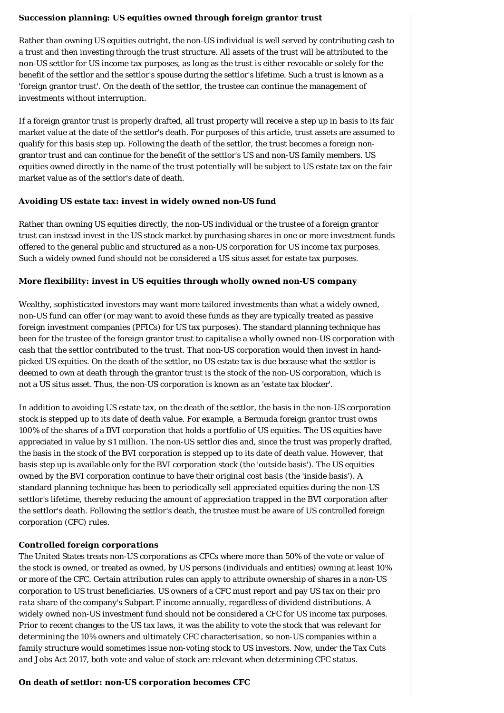## <span id="page-1-0"></span>**Succession planning: US equities owned through foreign grantor trust**

Rather than owning US equities outright, the non-US individual is well served by contributing cash to a trust and then investing through the trust structure. All assets of the trust will be attributed to the non-US settlor for US income tax purposes, as long as the trust is either revocable or solely for the benefit of the settlor and the settlor's spouse during the settlor's lifetime. Such a trust is known as a 'foreign grantor trust'. On the death of the settlor, the trustee can continue the management of investments without interruption.

If a foreign grantor trust is properly drafted, all trust property will receive a step up in basis to its fair market value at the date of the settlor's death. For purposes of this article, trust assets are assumed to qualify for this basis step up. Following the death of the settlor, the trust becomes a foreign nongrantor trust and can continue for the benefit of the settlor's US and non-US family members. US equities owned directly in the name of the trust potentially will be subject to US estate tax on the fair market value as of the settlor's date of death.

#### <span id="page-1-1"></span>**Avoiding US estate tax: invest in widely owned non-US fund**

Rather than owning US equities directly, the non-US individual or the trustee of a foreign grantor trust can instead invest in the US stock market by purchasing shares in one or more investment funds offered to the general public and structured as a non-US corporation for US income tax purposes. Such a widely owned fund should not be considered a US situs asset for estate tax purposes.

## <span id="page-1-2"></span>**More flexibility: invest in US equities through wholly owned non-US company**

Wealthy, sophisticated investors may want more tailored investments than what a widely owned, non-US fund can offer (or may want to avoid these funds as they are typically treated as passive foreign investment companies (PFICs) for US tax purposes). The standard planning technique has been for the trustee of the foreign grantor trust to capitalise a wholly owned non-US corporation with cash that the settlor contributed to the trust. That non-US corporation would then invest in handpicked US equities. On the death of the settlor, no US estate tax is due because what the settlor is deemed to own at death through the grantor trust is the stock of the non-US corporation, which is not a US situs asset. Thus, the non-US corporation is known as an 'estate tax blocker'.

In addition to avoiding US estate tax, on the death of the settlor, the basis in the non-US corporation stock is stepped up to its date of death value. For example, a Bermuda foreign grantor trust owns 100% of the shares of a BVI corporation that holds a portfolio of US equities. The US equities have appreciated in value by \$1 million. The non-US settlor dies and, since the trust was properly drafted, the basis in the stock of the BVI corporation is stepped up to its date of death value. However, that basis step up is available only for the BVI corporation stock (the 'outside basis'). The US equities owned by the BVI corporation continue to have their original cost basis (the 'inside basis'). A standard planning technique has been to periodically sell appreciated equities during the non-US settlor's lifetime, thereby reducing the amount of appreciation trapped in the BVI corporation after the settlor's death. Following the settlor's death, the trustee must be aware of US controlled foreign corporation (CFC) rules.

## *Controlled foreign corporations*

The United States treats non-US corporations as CFCs where more than 50% of the vote or value of the stock is owned, or treated as owned, by US persons (individuals and entities) owning at least 10% or more of the CFC. Certain attribution rules can apply to attribute ownership of shares in a non-US corporation to US trust beneficiaries. US owners of a CFC must report and pay US tax on their *pro rata* share of the company's Subpart F income annually, regardless of dividend distributions. A widely owned non-US investment fund should not be considered a CFC for US income tax purposes. Prior to recent changes to the US tax laws, it was the ability to vote the stock that was relevant for determining the 10% owners and ultimately CFC characterisation, so non-US companies within a family structure would sometimes issue non-voting stock to US investors. Now, under the Tax Cuts and Jobs Act 2017, both vote and value of stock are relevant when determining CFC status.

## <span id="page-1-3"></span>**On death of settlor: non-US corporation becomes CFC**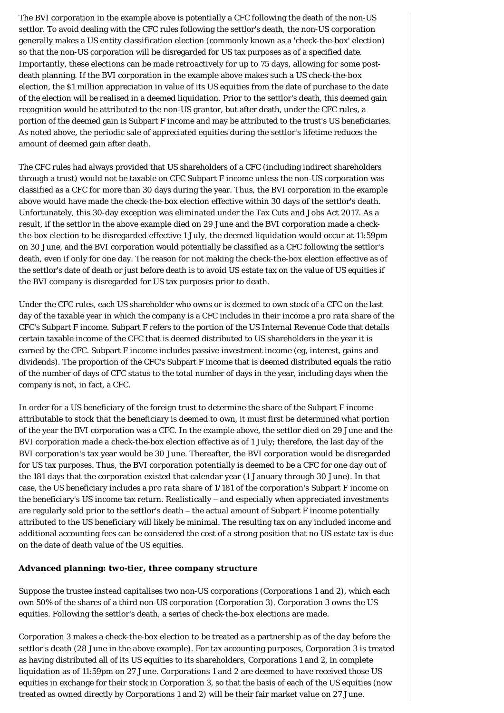The BVI corporation in the example above is potentially a CFC following the death of the non-US settlor. To avoid dealing with the CFC rules following the settlor's death, the non-US corporation generally makes a US entity classification election (commonly known as a 'check-the-box' election) so that the non-US corporation will be disregarded for US tax purposes as of a specified date. Importantly, these elections can be made retroactively for up to 75 days, allowing for some postdeath planning. If the BVI corporation in the example above makes such a US check-the-box election, the \$1 million appreciation in value of its US equities from the date of purchase to the date of the election will be realised in a deemed liquidation. Prior to the settlor's death, this deemed gain recognition would be attributed to the non-US grantor, but after death, under the CFC rules, a portion of the deemed gain is Subpart F income and may be attributed to the trust's US beneficiaries. As noted above, the periodic sale of appreciated equities during the settlor's lifetime reduces the amount of deemed gain after death.

The CFC rules had always provided that US shareholders of a CFC (including indirect shareholders through a trust) would not be taxable on CFC Subpart F income unless the non-US corporation was classified as a CFC for more than 30 days during the year. Thus, the BVI corporation in the example above would have made the check-the-box election effective within 30 days of the settlor's death. Unfortunately, this 30-day exception was eliminated under the Tax Cuts and Jobs Act 2017. As a result, if the settlor in the above example died on 29 June and the BVI corporation made a checkthe-box election to be disregarded effective 1 July, the deemed liquidation would occur at 11:59pm on 30 June, and the BVI corporation would potentially be classified as a CFC following the settlor's death, even if only for one day. The reason for not making the check-the-box election effective as of the settlor's date of death or just before death is to avoid US estate tax on the value of US equities if the BVI company is disregarded for US tax purposes prior to death.

Under the CFC rules, each US shareholder who owns or is deemed to own stock of a CFC on the last day of the taxable year in which the company is a CFC includes in their income a *pro rata* share of the CFC's Subpart F income. Subpart F refers to the portion of the US Internal Revenue Code that details certain taxable income of the CFC that is deemed distributed to US shareholders in the year it is earned by the CFC. Subpart F income includes passive investment income (eg, interest, gains and dividends). The proportion of the CFC's Subpart F income that is deemed distributed equals the ratio of the number of days of CFC status to the total number of days in the year, including days when the company is not, in fact, a CFC.

In order for a US beneficiary of the foreign trust to determine the share of the Subpart F income attributable to stock that the beneficiary is deemed to own, it must first be determined what portion of the year the BVI corporation was a CFC. In the example above, the settlor died on 29 June and the BVI corporation made a check-the-box election effective as of 1 July; therefore, the last day of the BVI corporation's tax year would be 30 June. Thereafter, the BVI corporation would be disregarded for US tax purposes. Thus, the BVI corporation potentially is deemed to be a CFC for one day out of the 181 days that the corporation existed that calendar year (1 January through 30 June). In that case, the US beneficiary includes a *pro rata* share of 1/181 of the corporation's Subpart F income on the beneficiary's US income tax return. Realistically – and especially when appreciated investments are regularly sold prior to the settlor's death – the actual amount of Subpart F income potentially attributed to the US beneficiary will likely be minimal. The resulting tax on any included income and additional accounting fees can be considered the cost of a strong position that no US estate tax is due on the date of death value of the US equities.

#### <span id="page-2-0"></span>**Advanced planning: two-tier, three company structure**

Suppose the trustee instead capitalises two non-US corporations (Corporations 1 and 2), which each own 50% of the shares of a third non-US corporation (Corporation 3). Corporation 3 owns the US equities. Following the settlor's death, a series of check-the-box elections are made.

Corporation 3 makes a check-the-box election to be treated as a partnership as of the day before the settlor's death (28 June in the above example). For tax accounting purposes, Corporation 3 is treated as having distributed all of its US equities to its shareholders, Corporations 1 and 2, in complete liquidation as of 11:59pm on 27 June. Corporations 1 and 2 are deemed to have received those US equities in exchange for their stock in Corporation 3, so that the basis of each of the US equities (now treated as owned directly by Corporations 1 and 2) will be their fair market value on 27 June.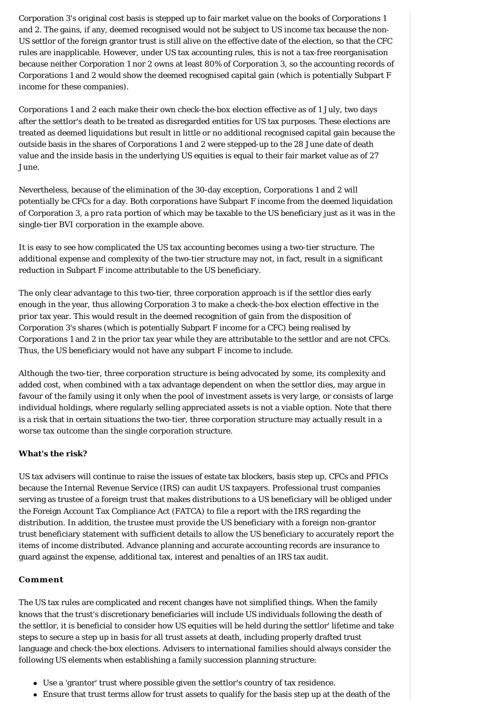Corporation 3's original cost basis is stepped up to fair market value on the books of Corporations 1 and 2. The gains, if any, deemed recognised would not be subject to US income tax because the non-US settlor of the foreign grantor trust is still alive on the effective date of the election, so that the CFC rules are inapplicable. However, under US tax accounting rules, this is not a tax-free reorganisation because neither Corporation 1 nor 2 owns at least 80% of Corporation 3, so the accounting records of Corporations 1 and 2 would show the deemed recognised capital gain (which is potentially Subpart F income for these companies).

Corporations 1 and 2 each make their own check-the-box election effective as of 1 July, two days after the settlor's death to be treated as disregarded entities for US tax purposes. These elections are treated as deemed liquidations but result in little or no additional recognised capital gain because the outside basis in the shares of Corporations 1 and 2 were stepped-up to the 28 June date of death value and the inside basis in the underlying US equities is equal to their fair market value as of 27 June.

Nevertheless, because of the elimination of the 30-day exception, Corporations 1 and 2 will potentially be CFCs for a day. Both corporations have Subpart F income from the deemed liquidation of Corporation 3, a *pro rata* portion of which may be taxable to the US beneficiary just as it was in the single-tier BVI corporation in the example above.

It is easy to see how complicated the US tax accounting becomes using a two-tier structure. The additional expense and complexity of the two-tier structure may not, in fact, result in a significant reduction in Subpart F income attributable to the US beneficiary.

The only clear advantage to this two-tier, three corporation approach is if the settlor dies early enough in the year, thus allowing Corporation 3 to make a check-the-box election effective in the prior tax year. This would result in the deemed recognition of gain from the disposition of Corporation 3's shares (which is potentially Subpart F income for a CFC) being realised by Corporations 1 and 2 in the prior tax year while they are attributable to the settlor and are not CFCs. Thus, the US beneficiary would not have any subpart F income to include.

Although the two-tier, three corporation structure is being advocated by some, its complexity and added cost, when combined with a tax advantage dependent on when the settlor dies, may argue in favour of the family using it only when the pool of investment assets is very large, or consists of large individual holdings, where regularly selling appreciated assets is not a viable option. Note that there is a risk that in certain situations the two-tier, three corporation structure may actually result in a worse tax outcome than the single corporation structure.

## <span id="page-3-0"></span>**What's the risk?**

US tax advisers will continue to raise the issues of estate tax blockers, basis step up, CFCs and PFICs because the Internal Revenue Service (IRS) can audit US taxpayers. Professional trust companies serving as trustee of a foreign trust that makes distributions to a US beneficiary will be obliged under the Foreign Account Tax Compliance Act (FATCA) to file a report with the IRS regarding the distribution. In addition, the trustee must provide the US beneficiary with a foreign non-grantor trust beneficiary statement with sufficient details to allow the US beneficiary to accurately report the items of income distributed. Advance planning and accurate accounting records are insurance to guard against the expense, additional tax, interest and penalties of an IRS tax audit.

### <span id="page-3-1"></span>**Comment**

The US tax rules are complicated and recent changes have not simplified things. When the family knows that the trust's discretionary beneficiaries will include US individuals following the death of the settlor, it is beneficial to consider how US equities will be held during the settlor' lifetime and take steps to secure a step up in basis for all trust assets at death, including properly drafted trust language and check-the-box elections. Advisers to international families should always consider the following US elements when establishing a family succession planning structure:

- Use a 'grantor' trust where possible given the settlor's country of tax residence.
- Ensure that trust terms allow for trust assets to qualify for the basis step up at the death of the